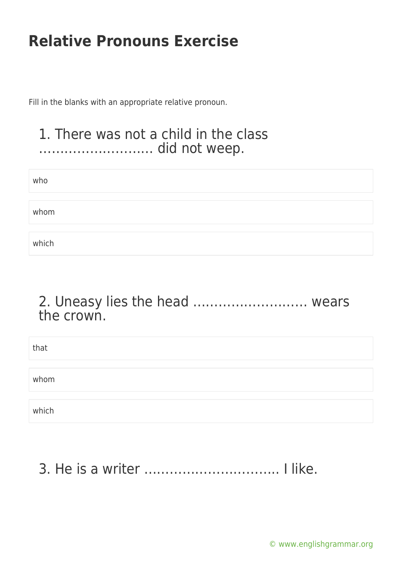Fill in the blanks with an appropriate relative pronoun.

#### 1. There was not a child in the class ……………………… did not weep.

| who   |  |  |  |
|-------|--|--|--|
|       |  |  |  |
| whom  |  |  |  |
|       |  |  |  |
| which |  |  |  |

#### 2. Uneasy lies the head ……………………… wears the crown.

| that  |  |  |
|-------|--|--|
|       |  |  |
| whom  |  |  |
|       |  |  |
| which |  |  |

## 3. He is a writer ………………………….. I like.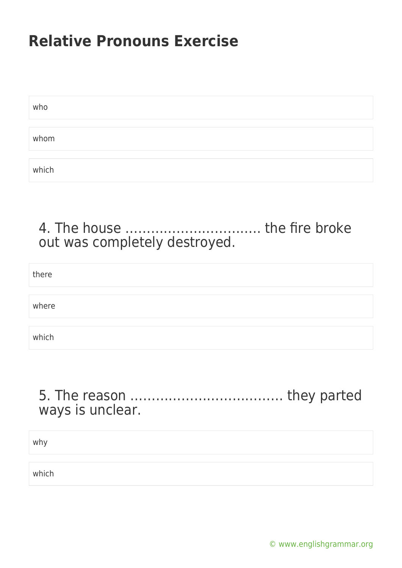| who   |  |  |  |
|-------|--|--|--|
|       |  |  |  |
| whom  |  |  |  |
|       |  |  |  |
| which |  |  |  |

### 4. The house ………………………….. the fire broke out was completely destroyed.

| there |  |  |  |
|-------|--|--|--|
|       |  |  |  |
| where |  |  |  |
|       |  |  |  |
| which |  |  |  |

#### 5. The reason ……………………………… they parted ways is unclear.

why

which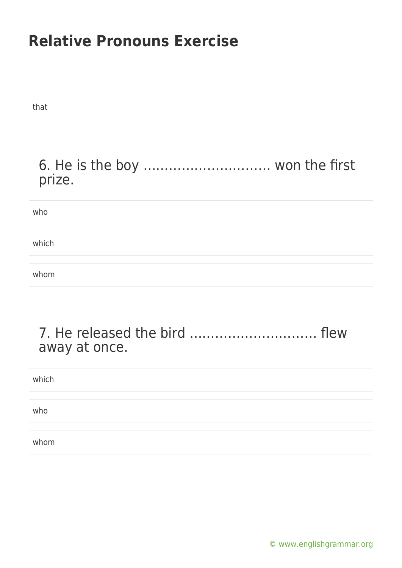| that                                      |
|-------------------------------------------|
| 6. He is the boy  won the first<br>prize. |
| who                                       |
| which                                     |
| whom                                      |

### 7. He released the bird ………………………… flew away at once.

| which |  |  |
|-------|--|--|
|       |  |  |
| who   |  |  |
|       |  |  |
| whom  |  |  |

[© www.englishgrammar.org](https://www.englishgrammar.org/)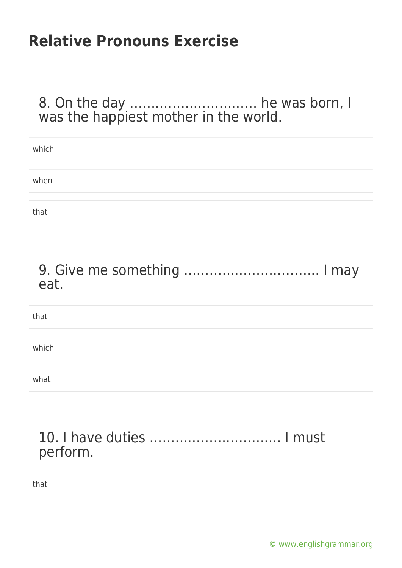#### 8. On the day ………………………… he was born, I was the happiest mother in the world.

| which |  |
|-------|--|
|       |  |
| when  |  |
|       |  |
| that  |  |

### 9. Give me something ………………………….. I may eat.

| that  |  |  |
|-------|--|--|
|       |  |  |
| which |  |  |
|       |  |  |
| what  |  |  |

#### 10. I have duties …………………………. I must perform.

that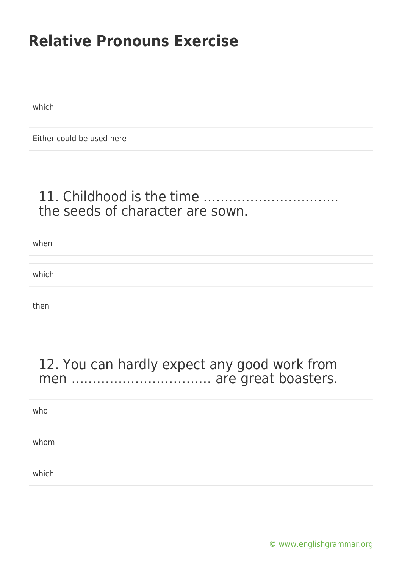which

Either could be used here

### 11. Childhood is the time ………………………….. the seeds of character are sown.

| when  |  |  |
|-------|--|--|
|       |  |  |
| which |  |  |
|       |  |  |
| then  |  |  |

### 12. You can hardly expect any good work from men …………………………… are great boasters.

| who   |  |  |  |
|-------|--|--|--|
|       |  |  |  |
| whom  |  |  |  |
|       |  |  |  |
| which |  |  |  |